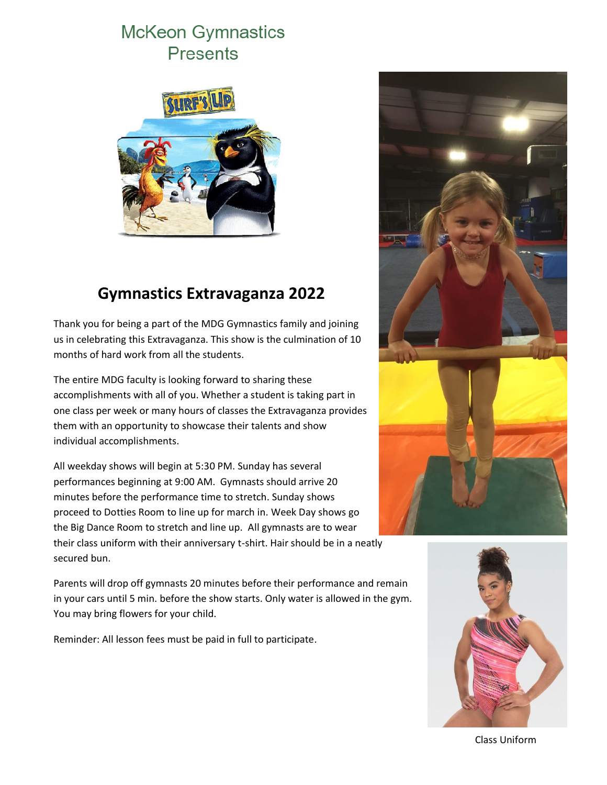# **McKeon Gymnastics Presents**



## **Gymnastics Extravaganza 2022**

Thank you for being a part of the MDG Gymnastics family and joining us in celebrating this Extravaganza. This show is the culmination of 10 months of hard work from all the students.

The entire MDG faculty is looking forward to sharing these accomplishments with all of you. Whether a student is taking part in one class per week or many hours of classes the Extravaganza provides them with an opportunity to showcase their talents and show individual accomplishments.

All weekday shows will begin at 5:30 PM. Sunday has several performances beginning at 9:00 AM. Gymnasts should arrive 20 minutes before the performance time to stretch. Sunday shows proceed to Dotties Room to line up for march in. Week Day shows go the Big Dance Room to stretch and line up. All gymnasts are to wear their class uniform with their anniversary t-shirt. Hair should be in a neatly secured bun.

Parents will drop off gymnasts 20 minutes before their performance and remain in your cars until 5 min. before the show starts. Only water is allowed in the gym. You may bring flowers for your child.

Reminder: All lesson fees must be paid in full to participate.





Class Uniform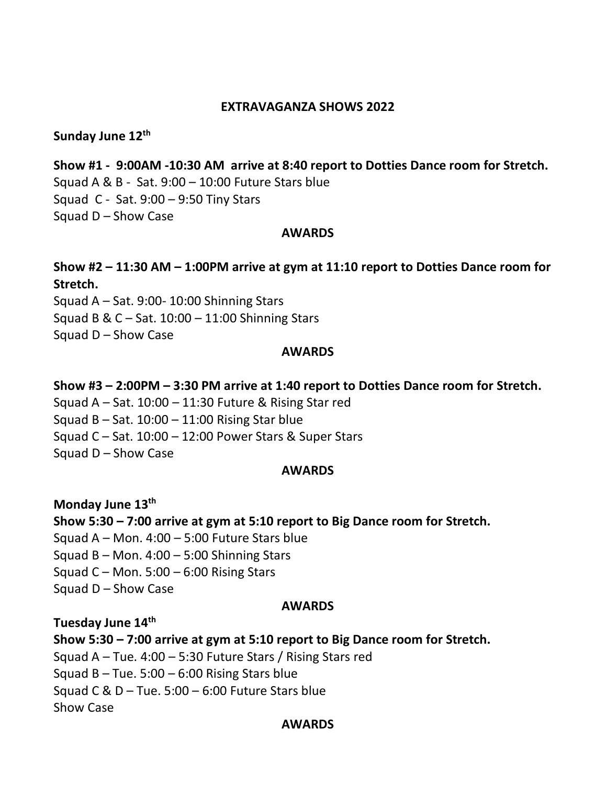## **EXTRAVAGANZA SHOWS 2022**

## **Sunday June 12th**

**Show #1 - 9:00AM -10:30 AM arrive at 8:40 report to Dotties Dance room for Stretch.** Squad A & B - Sat. 9:00 – 10:00 Future Stars blue Squad C - Sat. 9:00 – 9:50 Tiny Stars Squad D – Show Case

#### **AWARDS**

**Show #2 – 11:30 AM – 1:00PM arrive at gym at 11:10 report to Dotties Dance room for Stretch.** Squad A – Sat. 9:00- 10:00 Shinning Stars Squad B & C – Sat. 10:00 – 11:00 Shinning Stars

Squad D – Show Case

#### **AWARDS**

**Show #3 – 2:00PM – 3:30 PM arrive at 1:40 report to Dotties Dance room for Stretch.** Squad A – Sat. 10:00 – 11:30 Future & Rising Star red Squad B – Sat.  $10:00 - 11:00$  Rising Star blue Squad C – Sat. 10:00 – 12:00 Power Stars & Super Stars Squad D – Show Case

## **AWARDS**

**Monday June 13th Show 5:30 – 7:00 arrive at gym at 5:10 report to Big Dance room for Stretch.** Squad  $A - Mon. 4:00 - 5:00$  Future Stars blue Squad B – Mon.  $4:00 - 5:00$  Shinning Stars Squad C – Mon.  $5:00 - 6:00$  Rising Stars Squad D – Show Case

#### **AWARDS**

**Tuesday June 14th**

**Show 5:30 – 7:00 arrive at gym at 5:10 report to Big Dance room for Stretch.** Squad A – Tue. 4:00 – 5:30 Future Stars / Rising Stars red Squad B – Tue.  $5:00 - 6:00$  Rising Stars blue Squad C &  $D$  – Tue. 5:00 – 6:00 Future Stars blue Show Case

## **AWARDS**